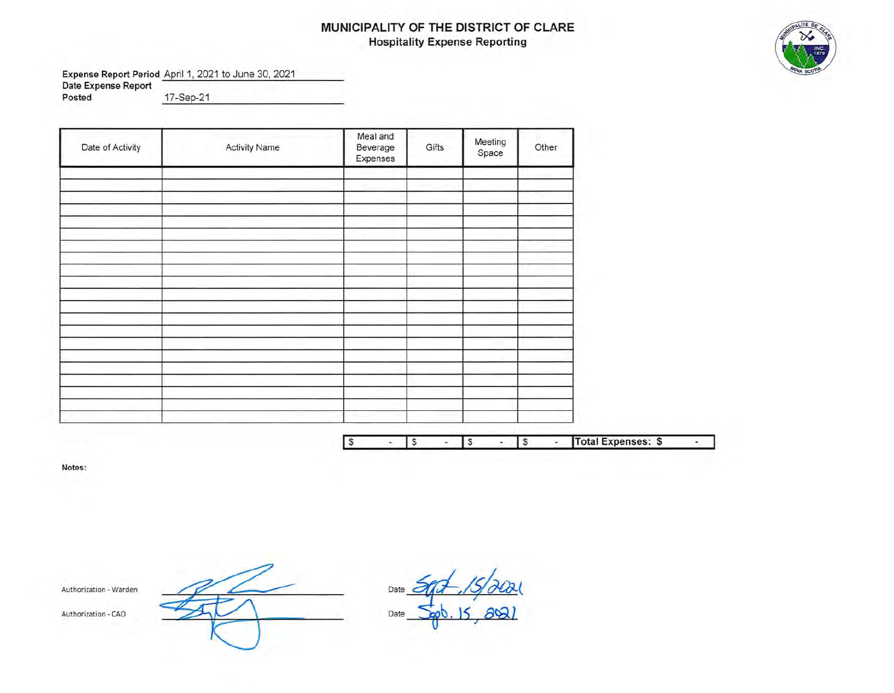# **MUNICIPALITY OF THE DISTRICT OF CLARE Hospitality Expense Reporting**



**Expense Report Period** April 1, 2021 to June 30, 2021 **Date Expense Report Posted** \_1\_7\_-S\_e"""p\_-\_2\_1 \_\_\_\_\_\_\_\_\_\_ \_

| Date of Activity | <b>Activity Name</b> | Meal and<br>Beverage<br>Expenses       | Gifts            | Meeting<br>Space | Other                                  |                    |
|------------------|----------------------|----------------------------------------|------------------|------------------|----------------------------------------|--------------------|
|                  |                      |                                        |                  |                  |                                        |                    |
|                  |                      |                                        |                  |                  |                                        |                    |
|                  |                      |                                        |                  |                  |                                        |                    |
|                  |                      |                                        |                  |                  |                                        |                    |
|                  |                      |                                        |                  |                  |                                        |                    |
|                  |                      |                                        |                  |                  |                                        |                    |
|                  |                      |                                        |                  |                  |                                        |                    |
|                  |                      |                                        |                  |                  |                                        |                    |
|                  |                      |                                        |                  |                  |                                        |                    |
|                  |                      |                                        |                  |                  |                                        |                    |
|                  |                      |                                        |                  |                  |                                        |                    |
|                  |                      |                                        |                  |                  |                                        |                    |
|                  |                      |                                        |                  |                  |                                        |                    |
|                  |                      |                                        |                  |                  |                                        |                    |
|                  |                      |                                        |                  |                  |                                        |                    |
|                  |                      |                                        |                  |                  |                                        |                    |
|                  |                      |                                        |                  |                  |                                        |                    |
|                  |                      |                                        |                  |                  |                                        |                    |
|                  |                      | $\sqrt{s}$<br>$\overline{\phantom{a}}$ | $\sqrt{s}$<br>×. | $\sqrt{s}$<br>÷. | $\sqrt{s}$<br>$\overline{\phantom{a}}$ | Total Expenses: \$ |

**Notes:** 

Authorization - Warden

Authorization - CAO

Date Date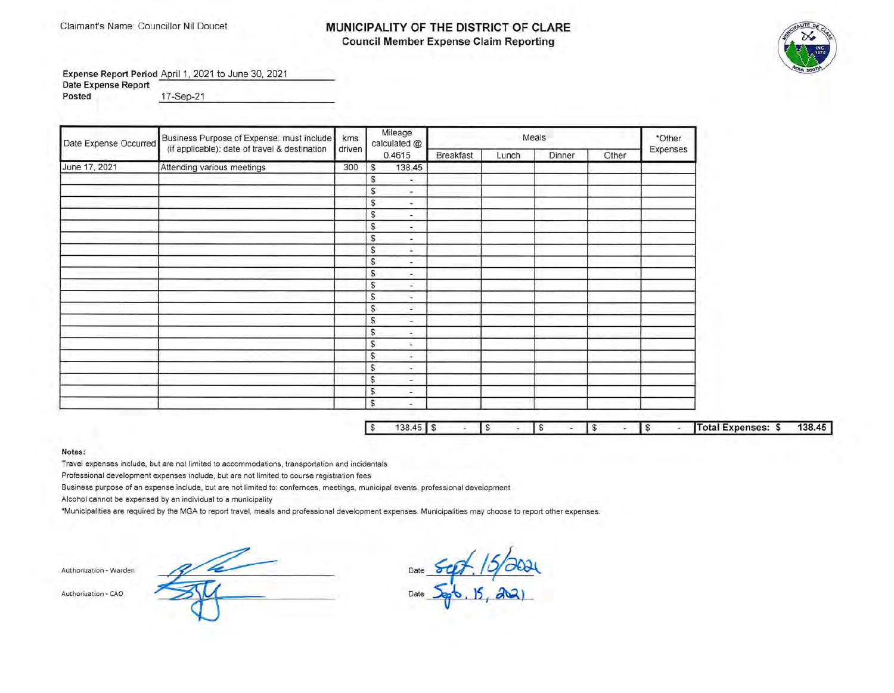### Claimant's Name: Councillor Nil Doucet **MUNICIPALITY OF THE DISTRICT OF CLARE Council Member Expense Claim Reporting**



Expense Report Period April 1, 2021 to June 30, 2021 **Date Expense Report** 

**Posted** \_1\_7\_-S\_e....:p\_-\_2\_1 \_\_\_\_\_\_\_\_\_\_ \_

| Date Expense Occurred | Business Purpose of Expense: must include     | kms    |              | Mileage<br>calculated @  |                  |       | Meals  |       | *Other   |
|-----------------------|-----------------------------------------------|--------|--------------|--------------------------|------------------|-------|--------|-------|----------|
|                       | (if applicable): date of travel & destination | driven |              | 0.4615                   | <b>Breakfast</b> | Lunch | Dinner | Other | Expenses |
| June 17, 2021         | Attending various meetings                    | 300    | S            | 138.45                   |                  |       |        |       |          |
|                       |                                               |        | S            | ۰.                       |                  |       |        |       |          |
|                       |                                               |        | S            | ×.                       |                  |       |        |       |          |
|                       |                                               |        | S            | ÷                        |                  |       |        |       |          |
|                       |                                               |        | S            | $\overline{\phantom{a}}$ |                  |       |        |       |          |
|                       |                                               |        | S            | ۰                        |                  |       |        |       |          |
|                       |                                               |        | S            | ۰                        |                  |       |        |       |          |
|                       |                                               |        | \$           | ۰                        |                  |       |        |       |          |
|                       |                                               |        | $\mathbb{S}$ | ۰.                       |                  |       |        |       |          |
|                       |                                               |        | \$           | ÷.                       |                  |       |        |       |          |
|                       |                                               |        | $\mathbb{S}$ | ۰                        |                  |       |        |       |          |
|                       |                                               |        | S            | $\overline{\phantom{a}}$ |                  |       |        |       |          |
|                       |                                               |        | \$           | a.                       |                  |       |        |       |          |
|                       |                                               |        | \$           | ۰.                       |                  |       |        |       |          |
|                       |                                               |        | S            | ۰.                       |                  |       |        |       |          |
|                       |                                               |        | S            | ×                        |                  |       |        |       |          |
|                       |                                               |        | S            | ÷.                       |                  |       |        |       |          |
|                       |                                               |        | S            | ÷                        |                  |       |        |       |          |
|                       |                                               |        | $\mathbb{S}$ | ×.                       |                  |       |        |       |          |
|                       |                                               |        | $\mathbb{S}$ | ×                        |                  |       |        |       |          |
|                       |                                               |        | s            | ×.                       |                  |       |        |       |          |

| $\mathcal{L}$ | 45<br>38. |  |  |  |  |  | Total Expenses:<br>÷. | 138.45 |
|---------------|-----------|--|--|--|--|--|-----------------------|--------|

### **Notes:**

Travel expenses include, but are not limited to accommodations, transportation and incidentals

Professional development expenses include, but are not limited to course registration fees

Business purpose of an expense include, but are not limited to: confernces , meetings, municipal events, professional development

Alcohol cannot be expensed by an individual to a municipality

•Municipalities are required by the MGA to report travel, meals and professional development expenses. Municipalities may choose to report other expenses.

Authorization - Warden Date Authorization - CAO Date of the CAO Date of the CAO Date of the CAO Date of the CAO Date of the CAO Date of the CAO Date of the CAO Date of the CAO Date of the CAO Date of the CAO Date of the CAO Date of the CAO Date of th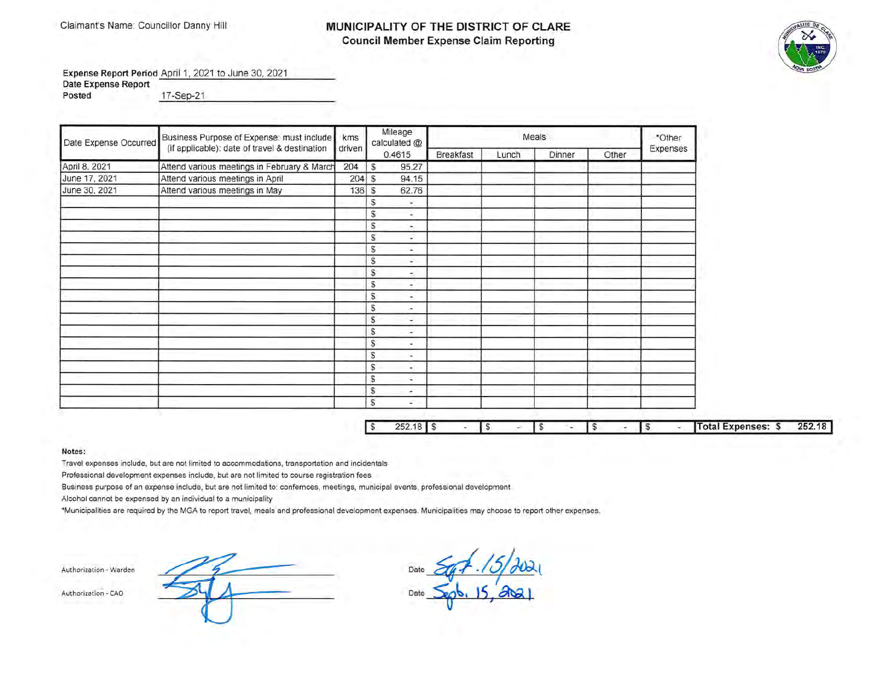## Claimant's Name: Councillor Danny Hill **MUNICIPALITY OF THE DISTRICT OF CLARE Council Member Expense Claim Reporting**



**Expense Report Period** April 1, 2021 to June 30, 2021

**Date Expense Report**  pate Expense Report<br>Posted **by the contract of the contract of the contract of the contract of the contract of the contract of the contract of the contract of the contract of the contract of the contract of the contract of** 

| Date Expense Occurred | Business Purpose of Expense: must include     | kms    | Mileage<br>calculated @                  |                  |       | Meals  |       | *Other   |
|-----------------------|-----------------------------------------------|--------|------------------------------------------|------------------|-------|--------|-------|----------|
|                       | (if applicable): date of travel & destination | driven | 0.4615                                   | <b>Breakfast</b> | Lunch | Dinner | Other | Expenses |
| April 8, 2021         | Attend various meetings in February & March   | 204    | \$<br>95.27                              |                  |       |        |       |          |
| June 17, 2021         | Attend various meetings in April              | 204    | 94.15<br>\$                              |                  |       |        |       |          |
| June 30, 2021         | Attend various meetings in May                | 136    | 62.76<br>\$                              |                  |       |        |       |          |
|                       |                                               |        | S<br>×.                                  |                  |       |        |       |          |
|                       |                                               |        | S<br>$\sim$                              |                  |       |        |       |          |
|                       |                                               |        | S<br>$\sim$                              |                  |       |        |       |          |
|                       |                                               |        | S<br>÷                                   |                  |       |        |       |          |
|                       |                                               |        | S<br>$\overline{\phantom{a}}$            |                  |       |        |       |          |
|                       |                                               |        | S<br>$\sim$                              |                  |       |        |       |          |
|                       |                                               |        | \$<br>۰.                                 |                  |       |        |       |          |
|                       |                                               |        | S<br>۰                                   |                  |       |        |       |          |
|                       |                                               |        | $\mathbb{S}$<br>$\overline{\phantom{a}}$ |                  |       |        |       |          |
|                       |                                               |        | S<br>÷                                   |                  |       |        |       |          |
|                       |                                               |        | s<br>÷                                   |                  |       |        |       |          |
|                       |                                               |        | S<br>÷                                   |                  |       |        |       |          |
|                       |                                               |        | S<br>$\sim$                              |                  |       |        |       |          |
|                       |                                               |        | S<br>÷.                                  |                  |       |        |       |          |
|                       |                                               |        | S<br>$\sim$                              |                  |       |        |       |          |
|                       |                                               |        | S<br>s,                                  |                  |       |        |       |          |
|                       |                                               |        | s<br>٠                                   |                  |       |        |       |          |
|                       |                                               |        | \$<br>c                                  |                  |       |        |       |          |

| $\sim$ | 252.18 |  |  |  |  |  | Total Expenses: \$ | 252.18 |
|--------|--------|--|--|--|--|--|--------------------|--------|
|        |        |  |  |  |  |  |                    |        |

### **Notes:**

Travel expenses include, but are not limited to accommodations, transportation and incidentals

Professional development expenses include, but are not limited to course registration fees

Business purpose of an expense include, but are not limited to: confernces, meetings, municipal events, professional development

Alcohol cannot be expensed by an individual to a municipality

\*Municipalities are required by the MGA to report travel, meals and professional development expenses. Municipalities may choose to report other expenses.

Authorization - Warden Date Authorization - CAO Date of the CAO Date of the CAO Date of the CAO Date of the CAO Date of the CAO Date of the CAO Date of the CAO Date of the CAO Date of the CAO Date of the CAO Date of the CAO Date of the CAO Date of th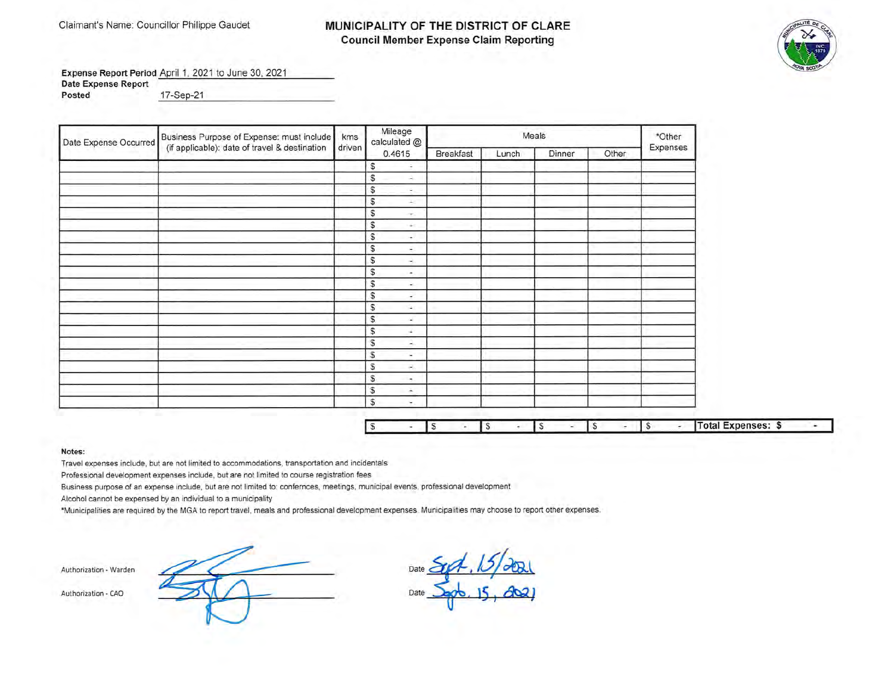## Claimant's Name: Councillor Philippe Gaudet **MUNICIPALITY OF THE DISTRICT OF CLARE Council Member Expense Claim Reporting**



**Expense Report Period** April **1,** 2021 to June 30, 2021 **Date Expense Report** 

**Posted 17-Sep-21** 

| Date Expense Occurred | Business Purpose of Expense: must include     | kms    | Mileage<br>calculated @       |                  |       | Meals  |       | *Other   |
|-----------------------|-----------------------------------------------|--------|-------------------------------|------------------|-------|--------|-------|----------|
|                       | (if applicable): date of travel & destination | driven | 0.4615                        | <b>Breakfast</b> | Lunch | Dinner | Other | Expenses |
|                       |                                               |        | S<br>÷                        |                  |       |        |       |          |
|                       |                                               |        | S<br>a.                       |                  |       |        |       |          |
|                       |                                               |        | \$<br>٠.                      |                  |       |        |       |          |
|                       |                                               |        | \$<br>×                       |                  |       |        |       |          |
|                       |                                               |        | \$<br>÷.                      |                  |       |        |       |          |
|                       |                                               |        | \$<br>$\Delta \phi$           |                  |       |        |       |          |
|                       |                                               |        | S<br>×.                       |                  |       |        |       |          |
|                       |                                               |        | S<br>÷.                       |                  |       |        |       |          |
|                       |                                               |        | S<br>÷.                       |                  |       |        |       |          |
|                       |                                               |        | \$<br>÷.                      |                  |       |        |       |          |
|                       |                                               |        | \$<br>÷.                      |                  |       |        |       |          |
|                       |                                               |        | S<br>$\overline{\phantom{a}}$ |                  |       |        |       |          |
|                       |                                               |        | $\mathbb S$<br>$\sim$         |                  |       |        |       |          |
|                       |                                               |        | \$<br>$\omega_{\rm c}$        |                  |       |        |       |          |
|                       |                                               |        | \$<br>÷                       |                  |       |        |       |          |
|                       |                                               |        | S<br>А.                       |                  |       |        |       |          |
|                       |                                               |        | S<br>$\sim$                   |                  |       |        |       |          |
|                       |                                               |        | S<br>×.                       |                  |       |        |       |          |
|                       |                                               |        | \$<br>٠.                      |                  |       |        |       |          |
|                       |                                               |        | S<br>×                        |                  |       |        |       |          |
|                       |                                               |        | S<br>÷.                       |                  |       |        |       |          |

D

|  |  |  |  |  |  |  |  |  |  |  |  | $\mu$ al Expenses: $\mathcal{F}$ |  |
|--|--|--|--|--|--|--|--|--|--|--|--|----------------------------------|--|
|--|--|--|--|--|--|--|--|--|--|--|--|----------------------------------|--|

### **Notes:**

Travel expenses include, but are not limited to accommodations, transportation and incidentals

Professional development expenses include, but are not limited to course registration fees

Business purpose of an expense include, but are not limited to: confernces, meetings, municipal events, professional development

Alcohol cannot be expensed by an individual to a municipality

\*Municipalities are required by the MGA to report travel , meals and professional development expenses. Municipalities may choose to report other expenses.

**Authori zation - Wa rden** 

Authorization - CAO

Date Date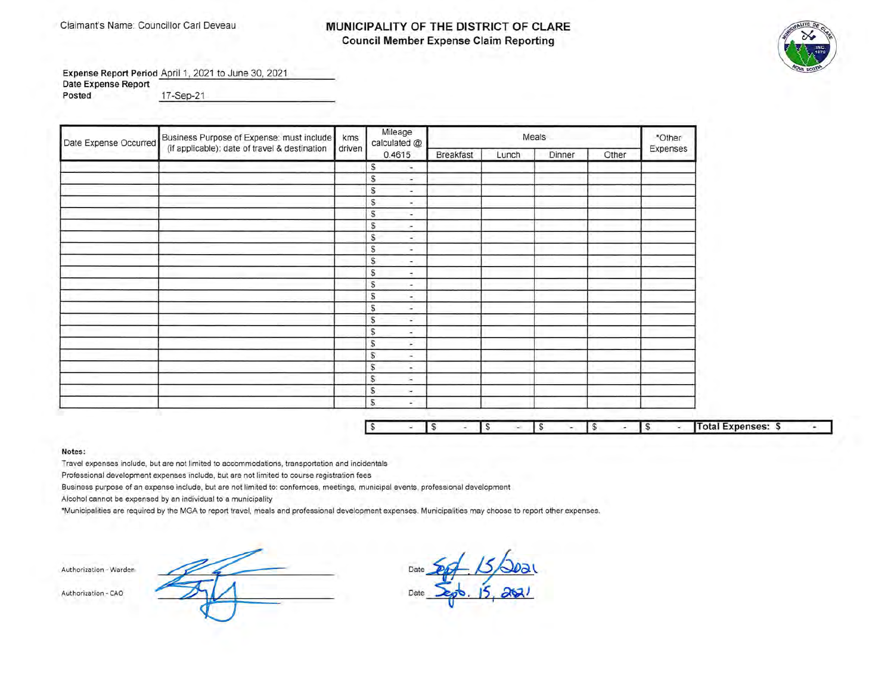### Claimant's Name: Councillor Carl Deveau **MUNICIPALITY OF THE DISTRICT OF CLARE Council Member Expense Claim Reporting**



Expense Report Period April 1, 2021 to June 30, 2021 **Date Expense Report** 

**Posted** \_1\_7\_-S\_e ...... p\_-\_2 \_1 \_\_\_\_\_\_\_\_\_\_ \_

| Date Expense Occurred | Business Purpose of Expense: must include     | kms    | Mileage<br>calculated @                  |           |       | Meals  |       | *Other   |
|-----------------------|-----------------------------------------------|--------|------------------------------------------|-----------|-------|--------|-------|----------|
|                       | (if applicable): date of travel & destination | driven | 0.4615                                   | Breakfast | Lunch | Dinner | Other | Expenses |
|                       |                                               |        | S<br>$\sim$                              |           |       |        |       |          |
|                       |                                               |        | S<br>$\overline{\phantom{a}}$            |           |       |        |       |          |
|                       |                                               |        | S<br>$\sim$                              |           |       |        |       |          |
|                       |                                               |        | S<br>×.                                  |           |       |        |       |          |
|                       |                                               |        | S<br>$\sim$                              |           |       |        |       |          |
|                       |                                               |        | \$<br>×                                  |           |       |        |       |          |
|                       |                                               |        | S<br>$\overline{\phantom{a}}$            |           |       |        |       |          |
|                       |                                               |        | $\mathbb{S}$<br>$\sim$                   |           |       |        |       |          |
|                       |                                               |        | $\mathbb{S}$<br>$\sim$                   |           |       |        |       |          |
|                       |                                               |        | $\mathbb{S}$<br>$\overline{\phantom{a}}$ |           |       |        |       |          |
|                       |                                               |        | \$<br>$\sim$                             |           |       |        |       |          |
|                       |                                               |        | S<br>$\overline{\phantom{a}}$            |           |       |        |       |          |
|                       |                                               |        | \$<br>÷                                  |           |       |        |       |          |
|                       |                                               |        | $\mathbb{S}$<br>$\overline{\phantom{a}}$ |           |       |        |       |          |
|                       |                                               |        | \$<br>×                                  |           |       |        |       |          |
|                       |                                               |        | S<br>×                                   |           |       |        |       |          |
|                       |                                               |        | $\mathbb{S}$<br>÷                        |           |       |        |       |          |
|                       |                                               |        | S<br>÷.                                  |           |       |        |       |          |
|                       |                                               |        | s<br>×                                   |           |       |        |       |          |
|                       |                                               |        | S<br>$\sim$                              |           |       |        |       |          |
|                       |                                               |        | S.<br>×,                                 |           |       |        |       |          |

|  |  |  |  |  |  |  |  |  |  |  |  | $nneae$<br><b>ADENSES:</b> |  |
|--|--|--|--|--|--|--|--|--|--|--|--|----------------------------|--|
|--|--|--|--|--|--|--|--|--|--|--|--|----------------------------|--|

### **Notes:**

Travel expenses include, but are not limited to accommodations, transportation and incidentals

Professional development expenses include, but are not limited to course registration fees

Business purpose of an expense include, but are not limited to: confernces, meetings, municipal events, professional development

Alcohol cannot be expensed by an individual to a municipality

'Municipalities are required by the MGA to report travel, meals and professional development expenses. Municipalities may choose to report other expenses.

**Authorization - Warden** 

Authorization - CAO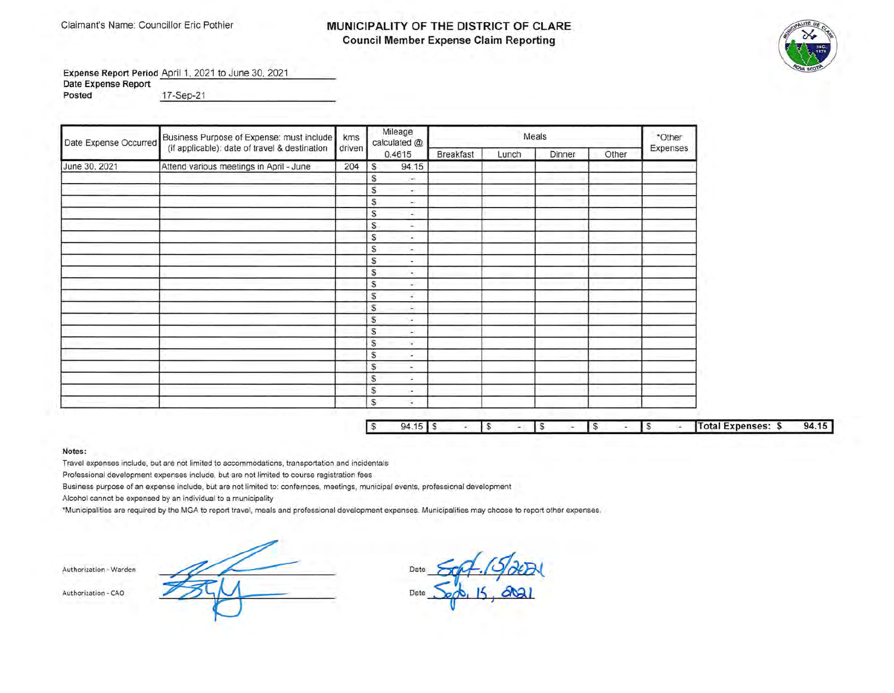## Claimant's Name: Councillor Eric Pothier **MUNICIPALITY OF THE DISTRICT OF CLARE Council Member Expense Claim Reporting**



**Expense Report Period** April 1, 2021 to June 30, 2021

**Date Expense Report Posted** \_1\_7\_-S\_ep~--2\_1 \_\_\_\_\_\_\_\_\_\_\_ \_

| Date Expense Occurred | Business Purpose of Expense: must include     | kms    |               | Mileage<br>calculated @ |                  |       | Meals  |       | *Other   |
|-----------------------|-----------------------------------------------|--------|---------------|-------------------------|------------------|-------|--------|-------|----------|
|                       | (if applicable): date of travel & destination | driven |               | 0.4615                  | <b>Breakfast</b> | Lunch | Dinner | Other | Expenses |
| June 30, 2021         | Attend various meetings in April - June       | 204    | $\mathcal{S}$ | 94.15                   |                  |       |        |       |          |
|                       |                                               |        | S             | N.                      |                  |       |        |       |          |
|                       |                                               |        | S             | $\sim$                  |                  |       |        |       |          |
|                       |                                               |        | S             | in 1                    |                  |       |        |       |          |
|                       |                                               |        | S             | $\sim$                  |                  |       |        |       |          |
|                       |                                               |        | S             | s.                      |                  |       |        |       |          |
|                       |                                               |        | S             | ×                       |                  |       |        |       |          |
|                       |                                               |        | S             | ω.                      |                  |       |        |       |          |
|                       |                                               |        | S             | ÷                       |                  |       |        |       |          |
|                       |                                               |        | S             | ÷                       |                  |       |        |       |          |
|                       |                                               |        | s             | ×.                      |                  |       |        |       |          |
|                       |                                               |        | S             | ¥.                      |                  |       |        |       |          |
|                       |                                               |        | S.            | A.                      |                  |       |        |       |          |
|                       |                                               |        | S             | œ.                      |                  |       |        |       |          |
|                       |                                               |        | S             | ×.                      |                  |       |        |       |          |
|                       |                                               |        | S             | ٠                       |                  |       |        |       |          |
|                       |                                               |        | S             | ×.                      |                  |       |        |       |          |
|                       |                                               |        | S             | ×.                      |                  |       |        |       |          |
|                       |                                               |        | S             | ¥.                      |                  |       |        |       |          |
|                       |                                               |        | S             | ×.                      |                  |       |        |       |          |
|                       |                                               |        | S.            | 96                      |                  |       |        |       |          |

| $a$ |  |  |  |  |  | al Expenses: | 94 |
|-----|--|--|--|--|--|--------------|----|

### **Notes:**

Travel expenses include, but are not limited to accommodations, transportation and incidentals

Professional development expenses include, but are not limited to course registration fees

Business purpose of an expense include, but are not limited to: confernces, meetings, municipal events, professional development

Alcohol cannot be expensed by an individual to a municipality

\*Municipalities are required by the MGA to report travel, meals and professional development expenses. Municipalities may choose to report other expenses.

**Authorization - Warden** 

Authorization - CAO Date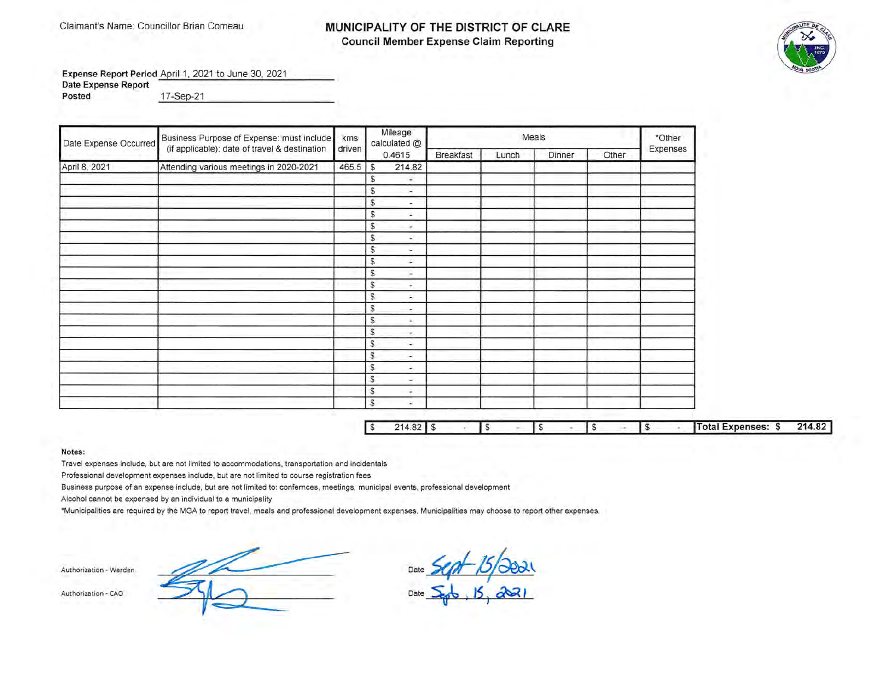### Claimant's Name: Councillor Brian Comeau **MUNICIPALITY OF THE DISTRICT OF CLARE Council Member Expense Claim Reporting**



**Expense Report Period** April 1, 2021 to June 30, 2021 **Date Expense Report Posted** \_1\_7\_-S\_e~p\_-\_2\_1 \_\_\_\_\_\_\_\_\_\_ \_

| Date Expense Occurred | Business Purpose of Expense: must include     | kms    | Mileage<br>calculated @        |                  |       | Meals  |       | *Other   |
|-----------------------|-----------------------------------------------|--------|--------------------------------|------------------|-------|--------|-------|----------|
|                       | (if applicable): date of travel & destination | driven | 0.4615                         | <b>Breakfast</b> | Lunch | Dinner | Other | Expenses |
| April 8, 2021         | Attending various meetings in 2020-2021       | 465.5  | 214.82<br>\$                   |                  |       |        |       |          |
|                       |                                               |        | S<br>$\overline{\phantom{a}}$  |                  |       |        |       |          |
|                       |                                               |        | S<br>×                         |                  |       |        |       |          |
|                       |                                               |        | \$<br>$\overline{\phantom{a}}$ |                  |       |        |       |          |
|                       |                                               |        | s<br>×.                        |                  |       |        |       |          |
|                       |                                               |        | S<br>÷.                        |                  |       |        |       |          |
|                       |                                               |        | s<br>£.                        |                  |       |        |       |          |
|                       |                                               |        | s<br>оń,                       |                  |       |        |       |          |
|                       |                                               |        | s<br>÷.                        |                  |       |        |       |          |
|                       |                                               |        | s<br>٠                         |                  |       |        |       |          |
|                       |                                               |        | \$<br>$\overline{\phantom{a}}$ |                  |       |        |       |          |
|                       |                                               |        | \$<br>×,                       |                  |       |        |       |          |
|                       |                                               |        | S<br>÷.                        |                  |       |        |       |          |
|                       |                                               |        | S.<br>diam.                    |                  |       |        |       |          |
|                       |                                               |        | $\mathbb{S}$<br>÷.             |                  |       |        |       |          |
|                       |                                               |        | S<br>аń,                       |                  |       |        |       |          |
|                       |                                               |        | $\mathbb S$<br>×               |                  |       |        |       |          |
|                       |                                               |        | $\mathbb{S}$<br>۰              |                  |       |        |       |          |
|                       |                                               |        | S<br>$\rightarrow$             |                  |       |        |       |          |
|                       |                                               |        | \$<br>۰                        |                  |       |        |       |          |
|                       |                                               |        | \$<br>×.                       |                  |       |        |       |          |

| s. |  |  |  |  |  |  |  |  |  |  |  | <b>Cold EXPENSES: S</b> | 214.82 |
|----|--|--|--|--|--|--|--|--|--|--|--|-------------------------|--------|
|----|--|--|--|--|--|--|--|--|--|--|--|-------------------------|--------|

#### **Notes:**

Travel expenses include, but are not limited to accommodations, transportation and incidentals

Professional development expenses include, but are not limited to course registration fees

Business purpose of an expense include, but are not limited to: confernces, meetings, municipal events, professional development

Alcohol cannot be expensed by an individual to a municipality

\*Municipalities are required by the MGA to report travel, meals and professional development expenses. Municipalities may choose to report other expenses.

 $Authorization-Warden$ Authorization - CAO Date **S<sub>ep</sub>t, 15, 2021**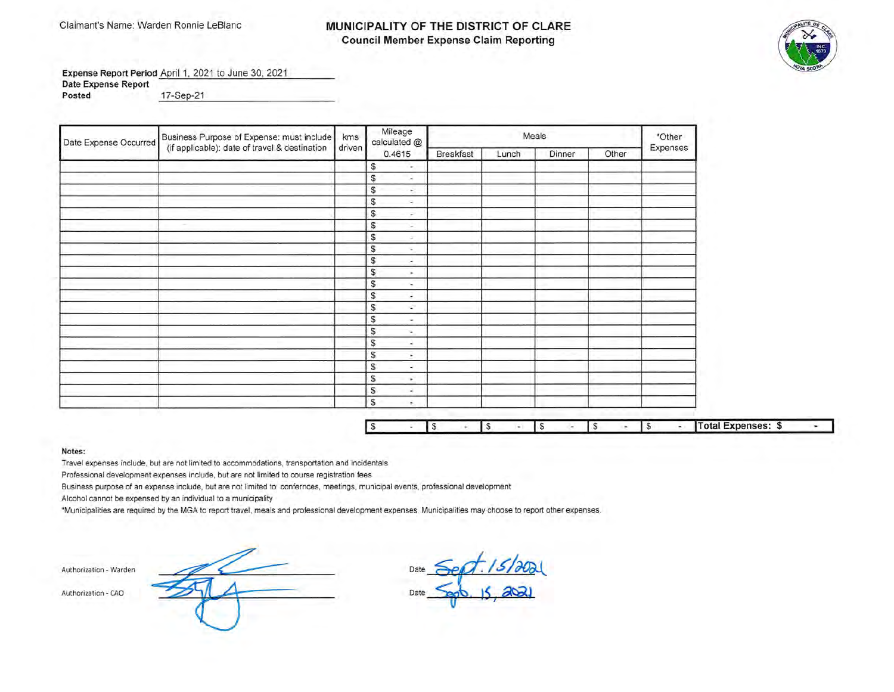### Claimant's Name: Warden Ronnie LeBlanc **MUNICIPALITY OF THE DISTRICT OF CLARE Council Member Expense Claim Reporting**



**Expense Report Period April 1, 2021 to June 30, 2021 Date Expense Report Posted** \_1\_7\_-S\_e~p\_-\_2\_1 \_\_\_\_\_\_\_\_\_\_ \_

| Date Expense Occurred | Business Purpose of Expense: must include     | kms    | Mileage<br>calculated @ |           |       | Meals  |       | *Other   |
|-----------------------|-----------------------------------------------|--------|-------------------------|-----------|-------|--------|-------|----------|
|                       | (if applicable): date of travel & destination | driven | 0.4615                  | Breakfast | Lunch | Dinner | Other | Expenses |
|                       |                                               |        | s<br>$\sim$             |           |       |        |       |          |
|                       |                                               |        | \$<br>×                 |           |       |        |       |          |
|                       |                                               |        | S<br>÷.                 |           |       |        |       |          |
|                       |                                               |        | S<br>я.                 |           |       |        |       |          |
|                       |                                               |        | S<br>$\sim$             |           |       |        |       |          |
|                       |                                               |        | S<br>×.                 |           |       |        |       |          |
|                       |                                               |        | S<br>$\sim$             |           |       |        |       |          |
|                       |                                               |        | S<br>$\sim$             |           |       |        |       |          |
|                       |                                               |        | \$<br>×                 |           |       |        |       |          |
|                       |                                               |        | \$<br>×.                |           |       |        |       |          |
|                       |                                               |        | \$<br>×.                |           |       |        |       |          |
|                       |                                               |        | S<br>۰                  |           |       |        |       |          |
|                       |                                               |        | S<br>÷                  |           |       |        |       |          |
|                       |                                               |        | $\mathbb{S}$<br>×       |           |       |        |       |          |
|                       |                                               |        | S<br>×                  |           |       |        |       |          |
|                       |                                               |        | S<br>a.                 |           |       |        |       |          |
|                       |                                               |        | S<br>Θ                  |           |       |        |       |          |
|                       |                                               |        | S.<br>$\sim$            |           |       |        |       |          |
|                       |                                               |        | S<br>×.                 |           |       |        |       |          |
|                       |                                               |        | S<br>×,                 |           |       |        |       |          |
|                       |                                               |        | s<br>÷.                 |           |       |        |       |          |

D

|  |  |  |  |  |  |  |  |  |  |  | $R_{\rm max}$<br>- 30 |  |
|--|--|--|--|--|--|--|--|--|--|--|-----------------------|--|
|--|--|--|--|--|--|--|--|--|--|--|-----------------------|--|

### **Notes:**

Travel expenses include, but are not limited to accommodations, transportation and incidentals

Professional development expenses include, but are not limited to course registration fees

Business purpose of an expense include, but are not limited to: confernces, meetings, municipal events, professional development

Alcohol cannot be expensed by an individual to a municipality

·Municipalities are required by the MGA to report travel, meals and professional development expenses. Municipalities may choose to report other expenses.

**Authorization - Wa rden** 

**Authoriza tion - CAO** 

Date *Sept. 15/20*21 Date *<u>sept</u>*, 15, 2021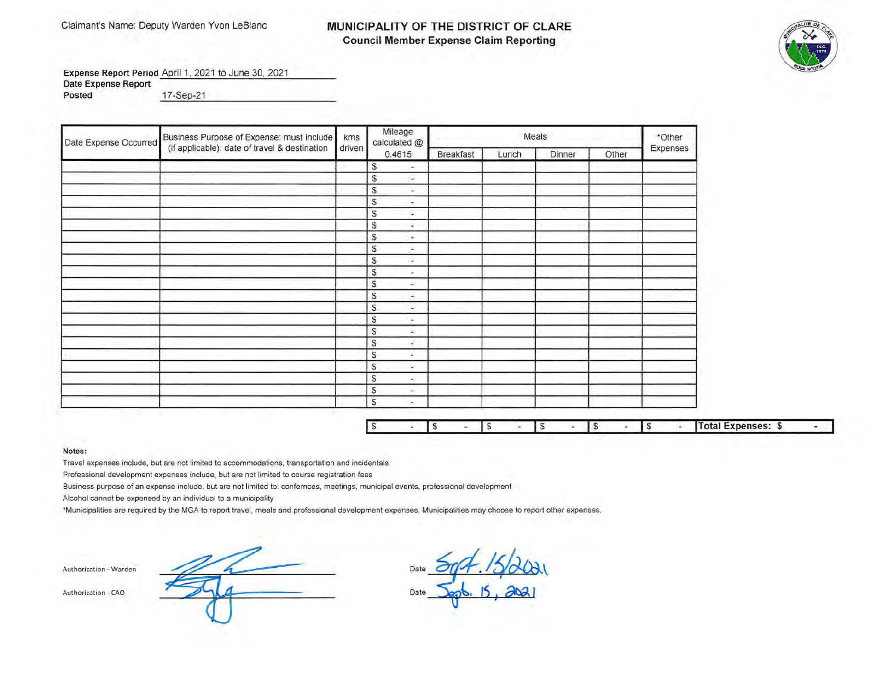## Claimant's Name: Deputy Warden Yvon LeBlanc **MUNICIPALITY OF THE DISTRICT OF CLARE Council Member Expense Claim Reporting**



Expense Report Period April 1, 2021 to June 30, 2021 **Date Expense Report** 

**Posted** 17-Sep-2 1

| Date Expense Occurred | Business Purpose of Expense: must include<br>(if applicable): date of travel & destination | kms    | Mileage<br>calculated @       |                  |       | Meals  |       | *Other   |  |
|-----------------------|--------------------------------------------------------------------------------------------|--------|-------------------------------|------------------|-------|--------|-------|----------|--|
|                       |                                                                                            | driven | 0.4615                        | <b>Breakfast</b> | Lunch | Dinner | Other | Expenses |  |
|                       |                                                                                            |        | \$<br>÷.                      |                  |       |        |       |          |  |
|                       |                                                                                            |        | S<br>$\sim$                   |                  |       |        |       |          |  |
|                       |                                                                                            |        | S<br>$\sim$                   |                  |       |        |       |          |  |
|                       |                                                                                            |        | s<br>÷                        |                  |       |        |       |          |  |
|                       |                                                                                            |        | S<br>$\overline{\phantom{a}}$ |                  |       |        |       |          |  |
|                       |                                                                                            |        | S<br>×.                       |                  |       |        |       |          |  |
|                       |                                                                                            |        | S<br>÷                        |                  |       |        |       |          |  |
|                       |                                                                                            |        | S<br>$\Delta \omega$          |                  |       |        |       |          |  |
|                       |                                                                                            |        | S<br>ί×.                      |                  |       |        |       |          |  |
|                       |                                                                                            |        | S<br>÷                        |                  |       |        |       |          |  |
|                       |                                                                                            |        | S<br>u.                       |                  |       |        |       |          |  |
|                       |                                                                                            |        | S<br>œ.                       |                  |       |        |       |          |  |
|                       |                                                                                            |        | \$<br>G.                      |                  |       |        |       |          |  |
|                       |                                                                                            |        | S<br>÷.                       |                  |       |        |       |          |  |
|                       |                                                                                            |        | \$<br>ξ£,                     |                  |       |        |       |          |  |
|                       |                                                                                            |        | S<br>ų.                       |                  |       |        |       |          |  |
|                       |                                                                                            |        | $\mathbb{S}$<br>÷.            |                  |       |        |       |          |  |
|                       |                                                                                            |        | S<br>×                        |                  |       |        |       |          |  |
|                       |                                                                                            |        | S<br>in 1<br>\$               |                  |       |        |       |          |  |
|                       |                                                                                            |        | h.                            |                  |       |        |       |          |  |
|                       |                                                                                            |        | S<br>×                        |                  |       |        |       |          |  |

|  |  |  |  |  |  |  |  |  |  |  |  | <b>Total Expenses:</b><br>- 73 |  |
|--|--|--|--|--|--|--|--|--|--|--|--|--------------------------------|--|
|--|--|--|--|--|--|--|--|--|--|--|--|--------------------------------|--|

### **Notes:**

Travel expenses include, but are not limited to accommodations, transportation and incidentals

Professional development expenses include, but are not limited to course registration fees

Business purpose of an expense include, but are not limited to: confernces, meetings, municipal events, professional development

Alcohol cannot be expensed by an individual to a municipality

\*Municipalities are required by the MGA to report travel, meals and professional development expenses. Municipalities may choose to report other expenses.

**Authorization - Warden** Date Authorization - CAO Date